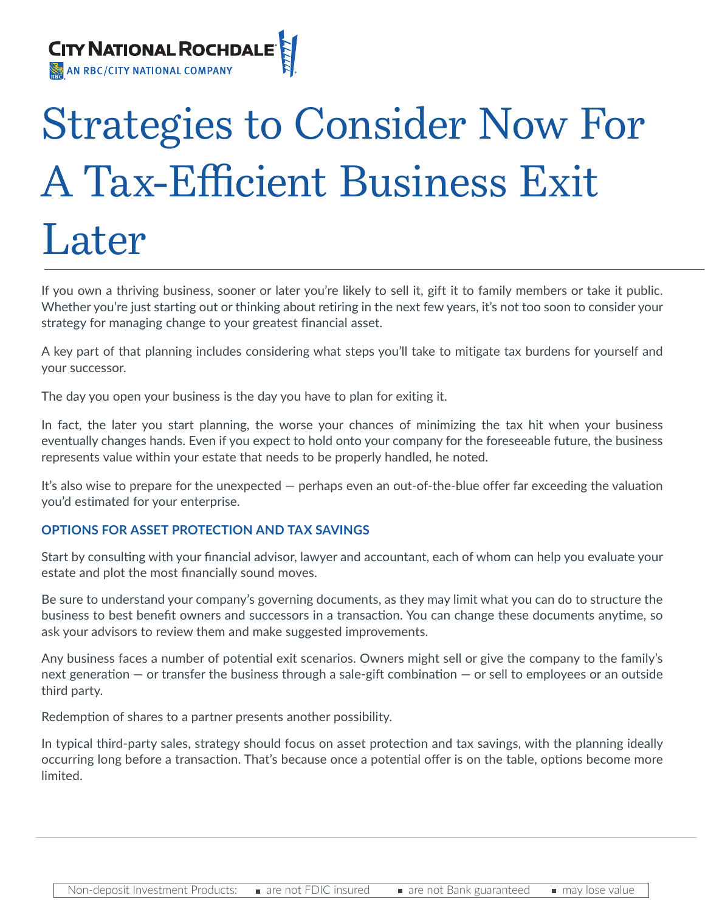

# Strategies to Consider Now For A Tax-Efficient Business Exit Later

If you own a thriving business, sooner or later you're likely to sell it, gift it to family members or take it public. Whether you're just starting out or thinking about retiring in the next few years, it's not too soon to consider your strategy for managing change to your greatest financial asset.

A key part of that planning includes considering what steps you'll take to mitigate tax burdens for yourself and your successor.

The day you open your business is the day you have to plan for exiting it.

In fact, the later you start planning, the worse your chances of minimizing the tax hit when your business eventually changes hands. Even if you expect to hold onto your company for the foreseeable future, the business represents value within your estate that needs to be properly handled, he noted.

It's also wise to prepare for the unexpected — perhaps even an out-of-the-blue offer far exceeding the valuation you'd estimated for your enterprise.

### **OPTIONS FOR ASSET PROTECTION AND TAX SAVINGS**

Start by consulting with your financial advisor, lawyer and accountant, each of whom can help you evaluate your estate and plot the most financially sound moves.

Be sure to understand your company's governing documents, as they may limit what you can do to structure the business to best benefit owners and successors in a transaction. You can change these documents anytime, so ask your advisors to review them and make suggested improvements.

Any business faces a number of potential exit scenarios. Owners might sell or give the company to the family's next generation — or transfer the business through a sale-gift combination — or sell to employees or an outside third party.

Redemption of shares to a partner presents another possibility.

In typical third-party sales, strategy should focus on asset protection and tax savings, with the planning ideally occurring long before a transaction. That's because once a potential offer is on the table, options become more limited.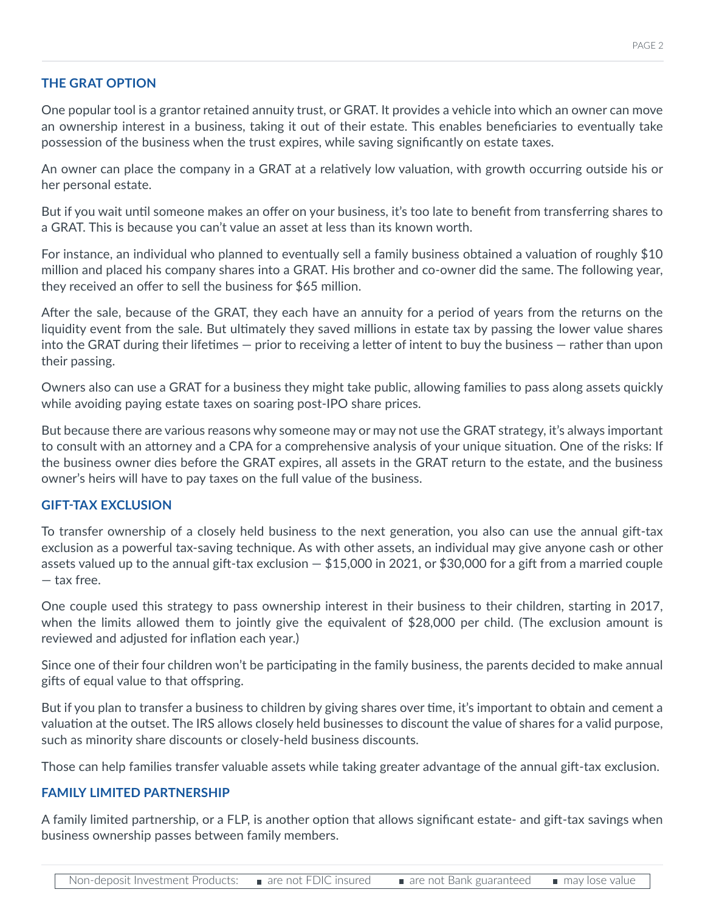### **THE GRAT OPTION**

One popular tool is a grantor retained annuity trust, or GRAT. It provides a vehicle into which an owner can move an ownership interest in a business, taking it out of their estate. This enables beneficiaries to eventually take possession of the business when the trust expires, while saving significantly on estate taxes.

An owner can place the company in a GRAT at a relatively low valuation, with growth occurring outside his or her personal estate.

But if you wait until someone makes an offer on your business, it's too late to benefit from transferring shares to a GRAT. This is because you can't value an asset at less than its known worth.

For instance, an individual who planned to eventually sell a family business obtained a valuation of roughly \$10 million and placed his company shares into a GRAT. His brother and co-owner did the same. The following year, they received an offer to sell the business for \$65 million.

After the sale, because of the GRAT, they each have an annuity for a period of years from the returns on the liquidity event from the sale. But ultimately they saved millions in estate tax by passing the lower value shares into the GRAT during their lifetimes — prior to receiving a letter of intent to buy the business — rather than upon their passing.

Owners also can use a GRAT for a business they might take public, allowing families to pass along assets quickly while avoiding paying estate taxes on soaring post-IPO share prices.

But because there are various reasons why someone may or may not use the GRAT strategy, it's always important to consult with an attorney and a CPA for a comprehensive analysis of your unique situation. One of the risks: If the business owner dies before the GRAT expires, all assets in the GRAT return to the estate, and the business owner's heirs will have to pay taxes on the full value of the business.

### **GIFT-TAX EXCLUSION**

To transfer ownership of a closely held business to the next generation, you also can use the annual gift-tax exclusion as a powerful tax-saving technique. As with other assets, an individual may give anyone cash or other assets valued up to the annual gift-tax exclusion — \$15,000 in 2021, or \$30,000 for a gift from a married couple — tax free.

One couple used this strategy to pass ownership interest in their business to their children, starting in 2017, when the limits allowed them to jointly give the equivalent of \$28,000 per child. (The exclusion amount is reviewed and adjusted for inflation each year.)

Since one of their four children won't be participating in the family business, the parents decided to make annual gifts of equal value to that offspring.

But if you plan to transfer a business to children by giving shares over time, it's important to obtain and cement a valuation at the outset. The IRS allows closely held businesses to discount the value of shares for a valid purpose, such as minority share discounts or closely-held business discounts.

Those can help families transfer valuable assets while taking greater advantage of the annual gift-tax exclusion.

### **FAMILY LIMITED PARTNERSHIP**

A family limited partnership, or a FLP, is another option that allows significant estate- and gift-tax savings when business ownership passes between family members.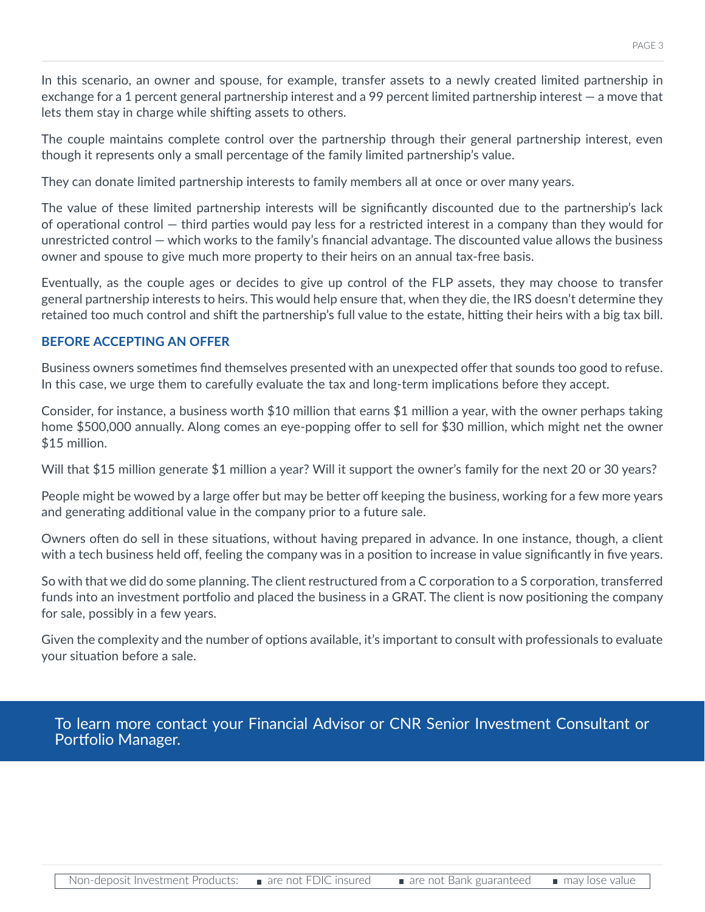In this scenario, an owner and spouse, for example, transfer assets to a newly created limited partnership in exchange for a 1 percent general partnership interest and a 99 percent limited partnership interest — a move that lets them stay in charge while shifting assets to others.

The couple maintains complete control over the partnership through their general partnership interest, even though it represents only a small percentage of the family limited partnership's value.

They can donate limited partnership interests to family members all at once or over many years.

The value of these limited partnership interests will be significantly discounted due to the partnership's lack of operational control — third parties would pay less for a restricted interest in a company than they would for unrestricted control — which works to the family's financial advantage. The discounted value allows the business owner and spouse to give much more property to their heirs on an annual tax-free basis.

Eventually, as the couple ages or decides to give up control of the FLP assets, they may choose to transfer general partnership interests to heirs. This would help ensure that, when they die, the IRS doesn't determine they retained too much control and shift the partnership's full value to the estate, hitting their heirs with a big tax bill.

## **BEFORE ACCEPTING AN OFFER**

Business owners sometimes find themselves presented with an unexpected offer that sounds too good to refuse. In this case, we urge them to carefully evaluate the tax and long-term implications before they accept.

Consider, for instance, a business worth \$10 million that earns \$1 million a year, with the owner perhaps taking home \$500,000 annually. Along comes an eye-popping offer to sell for \$30 million, which might net the owner \$15 million.

Will that \$15 million generate \$1 million a year? Will it support the owner's family for the next 20 or 30 years?

People might be wowed by a large offer but may be better off keeping the business, working for a few more years and generating additional value in the company prior to a future sale.

Owners often do sell in these situations, without having prepared in advance. In one instance, though, a client with a tech business held off, feeling the company was in a position to increase in value significantly in five years.

So with that we did do some planning. The client restructured from a C corporation to a S corporation, transferred funds into an investment portfolio and placed the business in a GRAT. The client is now positioning the company for sale, possibly in a few years.

Given the complexity and the number of options available, it's important to consult with professionals to evaluate your situation before a sale.

To learn more contact your Financial Advisor or CNR Senior Investment Consultant or Portfolio Manager.